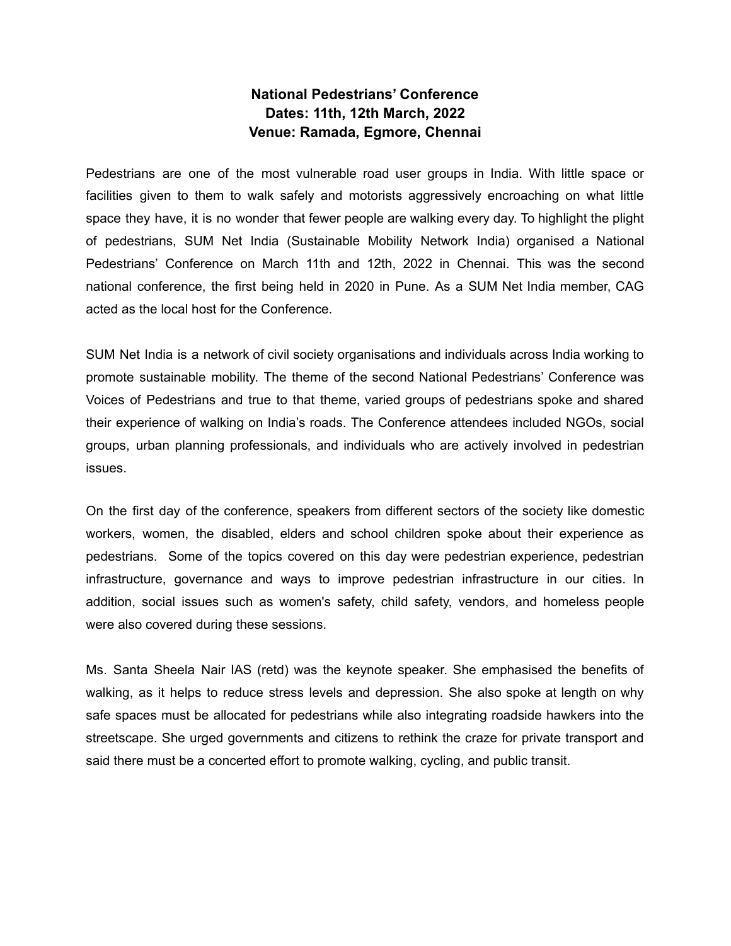## **National Pedestrians' Conference Dates: 11th, 12th March, 2022 Venue: Ramada, Egmore, Chennai**

Pedestrians are one of the most vulnerable road user groups in India. With little space or facilities given to them to walk safely and motorists aggressively encroaching on what little space they have, it is no wonder that fewer people are walking every day. To highlight the plight of pedestrians, SUM Net India (Sustainable Mobility Network India) organised a National Pedestrians' Conference on March 11th and 12th, 2022 in Chennai. This was the second national conference, the first being held in 2020 in Pune. As a SUM Net India member, CAG acted as the local host for the Conference.

SUM Net India is a network of civil society organisations and individuals across India working to promote sustainable mobility. The theme of the second National Pedestrians' Conference was Voices of Pedestrians and true to that theme, varied groups of pedestrians spoke and shared their experience of walking on India's roads. The Conference attendees included NGOs, social groups, urban planning professionals, and individuals who are actively involved in pedestrian issues.

On the first day of the conference, speakers from different sectors of the society like domestic workers, women, the disabled, elders and school children spoke about their experience as pedestrians. Some of the topics covered on this day were pedestrian experience, pedestrian infrastructure, governance and ways to improve pedestrian infrastructure in our cities. In addition, social issues such as women's safety, child safety, vendors, and homeless people were also covered during these sessions.

Ms. Santa Sheela Nair IAS (retd) was the keynote speaker. She emphasised the benefits of walking, as it helps to reduce stress levels and depression. She also spoke at length on why safe spaces must be allocated for pedestrians while also integrating roadside hawkers into the streetscape. She urged governments and citizens to rethink the craze for private transport and said there must be a concerted effort to promote walking, cycling, and public transit.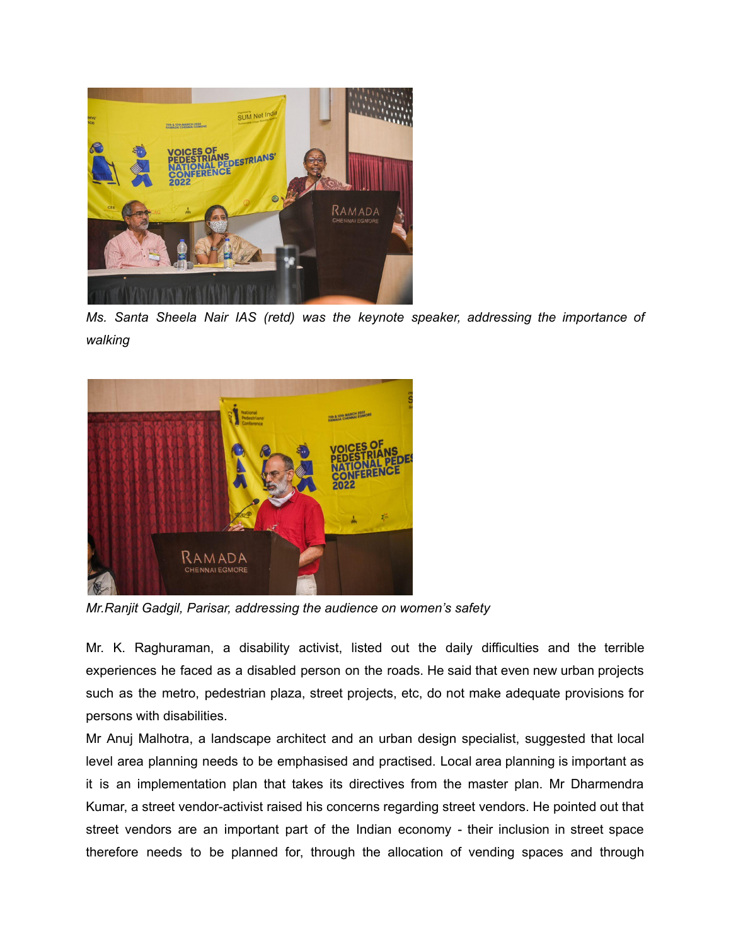

*Ms. Santa Sheela Nair IAS (retd) was the keynote speaker, addressing the importance of walking*



*Mr.Ranjit Gadgil, Parisar, addressing the audience on women's safety*

Mr. K. Raghuraman, a disability activist, listed out the daily difficulties and the terrible experiences he faced as a disabled person on the roads. He said that even new urban projects such as the metro, pedestrian plaza, street projects, etc, do not make adequate provisions for persons with disabilities.

Mr Anuj Malhotra, a landscape architect and an urban design specialist, suggested that local level area planning needs to be emphasised and practised. Local area planning is important as it is an implementation plan that takes its directives from the master plan. Mr Dharmendra Kumar, a street vendor-activist raised his concerns regarding street vendors. He pointed out that street vendors are an important part of the Indian economy - their inclusion in street space therefore needs to be planned for, through the allocation of vending spaces and through